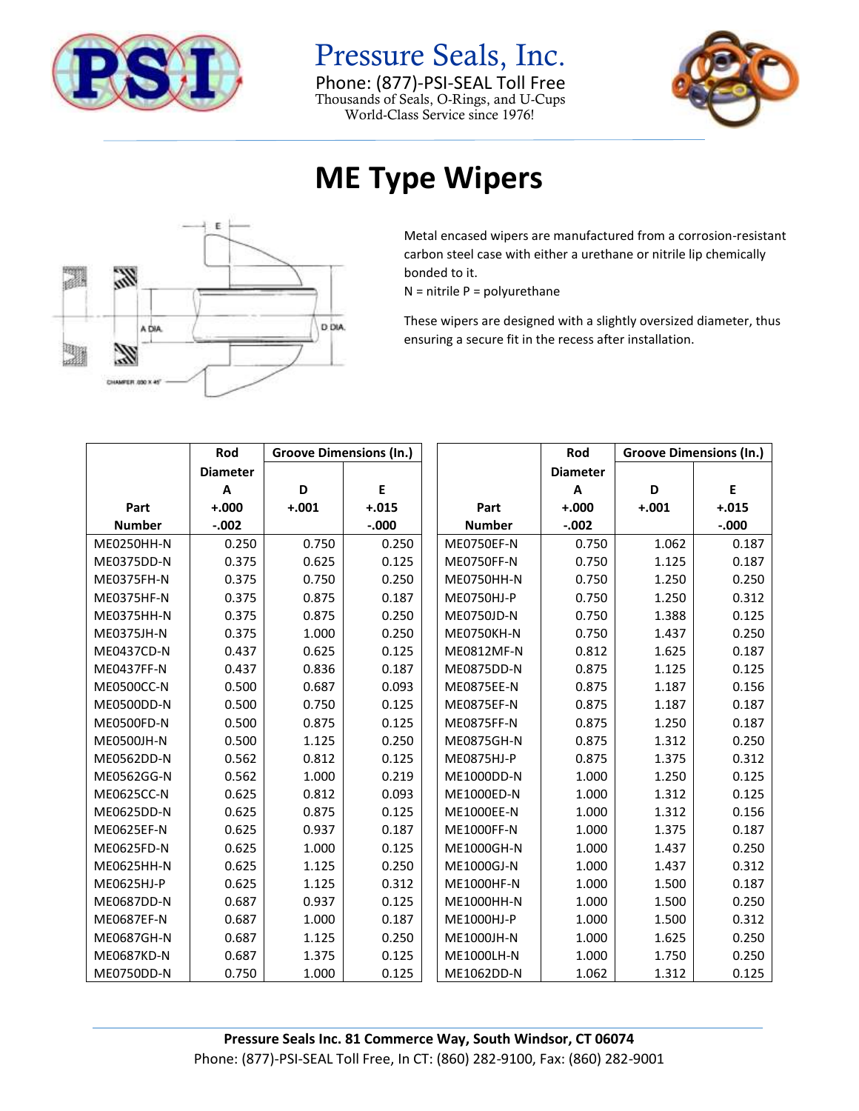

Pressure Seals, Inc.

Phone: (877)-PSI-SEAL Toll Free Thousands of Seals, O-Rings, and U-Cups World-Class Service since 1976!



## **ME Type Wipers**



Metal encased wipers are manufactured from a corrosion-resistant carbon steel case with either a urethane or nitrile lip chemically bonded to it.

 $N =$  nitrile  $P =$  polyurethane

These wipers are designed with a slightly oversized diameter, thus ensuring a secure fit in the recess after installation.

|                   | Rod             | <b>Groove Dimensions (In.)</b> |          |                   | Rod             | <b>Groove Dimensions (In.)</b> |         |
|-------------------|-----------------|--------------------------------|----------|-------------------|-----------------|--------------------------------|---------|
|                   | <b>Diameter</b> |                                |          |                   | <b>Diameter</b> |                                |         |
|                   | A               | D                              | E        |                   | A               | D                              | E       |
| Part              | $+.000$         | $+.001$                        | $+.015$  | Part              | $+.000$         | $+.001$                        | $+.015$ |
| <b>Number</b>     | $-.002$         |                                | $-0.000$ | <b>Number</b>     | $-.002$         |                                | $-.000$ |
| <b>ME0250HH-N</b> | 0.250           | 0.750                          | 0.250    | ME0750EF-N        | 0.750           | 1.062                          | 0.187   |
| <b>ME0375DD-N</b> | 0.375           | 0.625                          | 0.125    | ME0750FF-N        | 0.750           | 1.125                          | 0.187   |
| <b>ME0375FH-N</b> | 0.375           | 0.750                          | 0.250    | <b>ME0750HH-N</b> | 0.750           | 1.250                          | 0.250   |
| ME0375HF-N        | 0.375           | 0.875                          | 0.187    | ME0750HJ-P        | 0.750           | 1.250                          | 0.312   |
| <b>ME0375HH-N</b> | 0.375           | 0.875                          | 0.250    | ME0750JD-N        | 0.750           | 1.388                          | 0.125   |
| ME0375JH-N        | 0.375           | 1.000                          | 0.250    | ME0750KH-N        | 0.750           | 1.437                          | 0.250   |
| <b>ME0437CD-N</b> | 0.437           | 0.625                          | 0.125    | <b>ME0812MF-N</b> | 0.812           | 1.625                          | 0.187   |
| <b>ME0437FF-N</b> | 0.437           | 0.836                          | 0.187    | <b>ME0875DD-N</b> | 0.875           | 1.125                          | 0.125   |
| ME0500CC-N        | 0.500           | 0.687                          | 0.093    | <b>ME0875EE-N</b> | 0.875           | 1.187                          | 0.156   |
| ME0500DD-N        | 0.500           | 0.750                          | 0.125    | <b>ME0875EF-N</b> | 0.875           | 1.187                          | 0.187   |
| ME0500FD-N        | 0.500           | 0.875                          | 0.125    | <b>ME0875FF-N</b> | 0.875           | 1.250                          | 0.187   |
| <b>ME0500JH-N</b> | 0.500           | 1.125                          | 0.250    | ME0875GH-N        | 0.875           | 1.312                          | 0.250   |
| ME0562DD-N        | 0.562           | 0.812                          | 0.125    | ME0875HJ-P        | 0.875           | 1.375                          | 0.312   |
| ME0562GG-N        | 0.562           | 1.000                          | 0.219    | ME1000DD-N        | 1.000           | 1.250                          | 0.125   |
| <b>ME0625CC-N</b> | 0.625           | 0.812                          | 0.093    | <b>ME1000ED-N</b> | 1.000           | 1.312                          | 0.125   |
| ME0625DD-N        | 0.625           | 0.875                          | 0.125    | <b>ME1000EE-N</b> | 1.000           | 1.312                          | 0.156   |
| ME0625EF-N        | 0.625           | 0.937                          | 0.187    | <b>ME1000FF-N</b> | 1.000           | 1.375                          | 0.187   |
| <b>ME0625FD-N</b> | 0.625           | 1.000                          | 0.125    | ME1000GH-N        | 1.000           | 1.437                          | 0.250   |
| ME0625HH-N        | 0.625           | 1.125                          | 0.250    | ME1000GJ-N        | 1.000           | 1.437                          | 0.312   |
| ME0625HJ-P        | 0.625           | 1.125                          | 0.312    | <b>ME1000HF-N</b> | 1.000           | 1.500                          | 0.187   |
| <b>ME0687DD-N</b> | 0.687           | 0.937                          | 0.125    | <b>ME1000HH-N</b> | 1.000           | 1.500                          | 0.250   |
| <b>ME0687EF-N</b> | 0.687           | 1.000                          | 0.187    | ME1000HJ-P        | 1.000           | 1.500                          | 0.312   |
| ME0687GH-N        | 0.687           | 1.125                          | 0.250    | ME1000JH-N        | 1.000           | 1.625                          | 0.250   |
| ME0687KD-N        | 0.687           | 1.375                          | 0.125    | ME1000LH-N        | 1.000           | 1.750                          | 0.250   |
| ME0750DD-N        | 0.750           | 1.000                          | 0.125    | ME1062DD-N        | 1.062           | 1.312                          | 0.125   |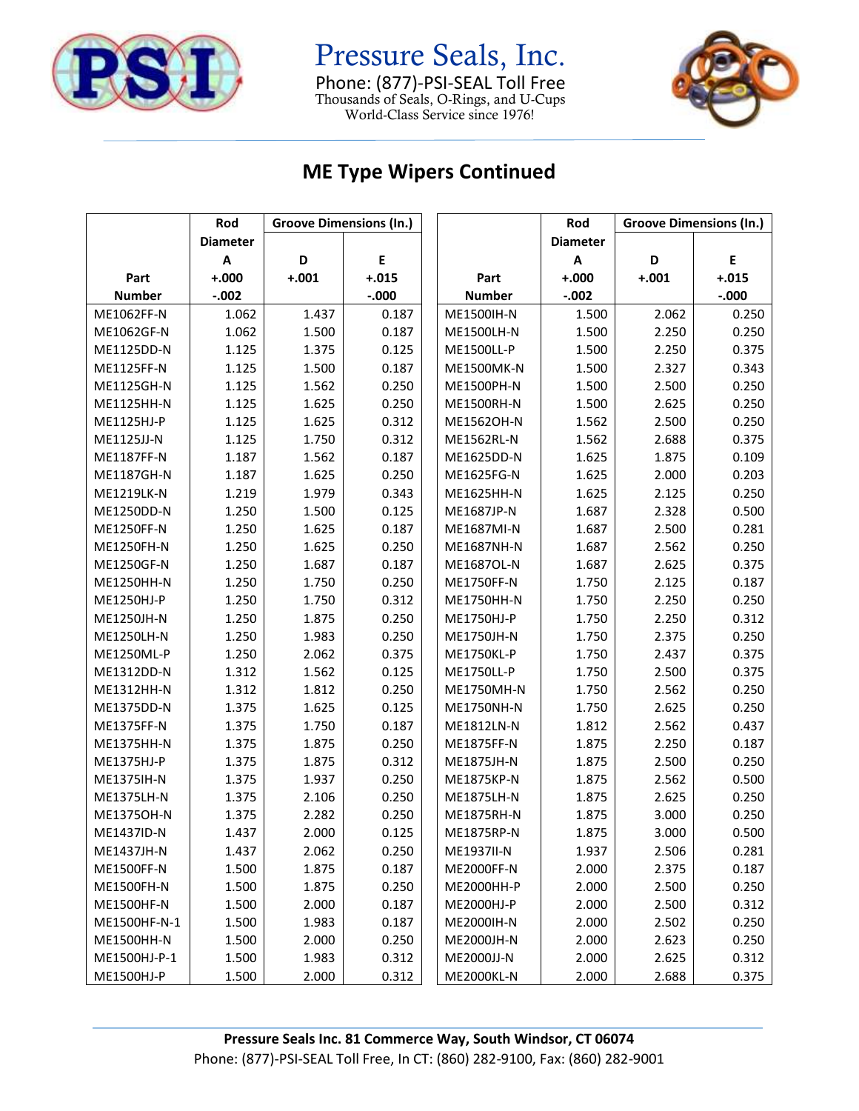

Pressure Seals, Inc. Phone: (877)-PSI-SEAL Toll Free Thousands of Seals, O-Rings, and U-Cups World-Class Service since 1976!



## **ME Type Wipers Continued**

|                   | Rod             | <b>Groove Dimensions (In.)</b> |         |                   | Rod             | <b>Groove Dimensions (In.)</b> |         |
|-------------------|-----------------|--------------------------------|---------|-------------------|-----------------|--------------------------------|---------|
|                   | <b>Diameter</b> |                                |         |                   | <b>Diameter</b> |                                |         |
|                   | $\mathbf{A}$    | D                              | E       |                   | A               | D                              | Ε       |
| Part              | $+.000$         | $+.001$                        | $+.015$ | Part              | $+.000$         | $+.001$                        | $+.015$ |
| <b>Number</b>     | $-.002$         |                                | $-.000$ | <b>Number</b>     | $-.002$         |                                | $-.000$ |
| ME1062FF-N        | 1.062           | 1.437                          | 0.187   | ME1500IH-N        | 1.500           | 2.062                          | 0.250   |
| ME1062GF-N        | 1.062           | 1.500                          | 0.187   | <b>ME1500LH-N</b> | 1.500           | 2.250                          | 0.250   |
| ME1125DD-N        | 1.125           | 1.375                          | 0.125   | ME1500LL-P        | 1.500           | 2.250                          | 0.375   |
| ME1125FF-N        | 1.125           | 1.500                          | 0.187   | <b>ME1500MK-N</b> | 1.500           | 2.327                          | 0.343   |
| ME1125GH-N        | 1.125           | 1.562                          | 0.250   | ME1500PH-N        | 1.500           | 2.500                          | 0.250   |
| ME1125HH-N        | 1.125           | 1.625                          | 0.250   | ME1500RH-N        | 1.500           | 2.625                          | 0.250   |
| ME1125HJ-P        | 1.125           | 1.625                          | 0.312   | ME1562OH-N        | 1.562           | 2.500                          | 0.250   |
| ME1125JJ-N        | 1.125           | 1.750                          | 0.312   | ME1562RL-N        | 1.562           | 2.688                          | 0.375   |
| ME1187FF-N        | 1.187           | 1.562                          | 0.187   | ME1625DD-N        | 1.625           | 1.875                          | 0.109   |
| ME1187GH-N        | 1.187           | 1.625                          | 0.250   | ME1625FG-N        | 1.625           | 2.000                          | 0.203   |
| <b>ME1219LK-N</b> | 1.219           | 1.979                          | 0.343   | ME1625HH-N        | 1.625           | 2.125                          | 0.250   |
| ME1250DD-N        | 1.250           | 1.500                          | 0.125   | ME1687JP-N        | 1.687           | 2.328                          | 0.500   |
| ME1250FF-N        | 1.250           | 1.625                          | 0.187   | ME1687MI-N        | 1.687           | 2.500                          | 0.281   |
| ME1250FH-N        | 1.250           | 1.625                          | 0.250   | <b>ME1687NH-N</b> | 1.687           | 2.562                          | 0.250   |
| <b>ME1250GF-N</b> | 1.250           | 1.687                          | 0.187   | ME1687OL-N        | 1.687           | 2.625                          | 0.375   |
| ME1250HH-N        | 1.250           | 1.750                          | 0.250   | <b>ME1750FF-N</b> | 1.750           | 2.125                          | 0.187   |
| ME1250HJ-P        | 1.250           | 1.750                          | 0.312   | ME1750HH-N        | 1.750           | 2.250                          | 0.250   |
| ME1250JH-N        | 1.250           | 1.875                          | 0.250   | ME1750HJ-P        | 1.750           | 2.250                          | 0.312   |
| ME1250LH-N        | 1.250           | 1.983                          | 0.250   | ME1750JH-N        | 1.750           | 2.375                          | 0.250   |
| <b>ME1250ML-P</b> | 1.250           | 2.062                          | 0.375   | ME1750KL-P        | 1.750           | 2.437                          | 0.375   |
| ME1312DD-N        | 1.312           | 1.562                          | 0.125   | ME1750LL-P        | 1.750           | 2.500                          | 0.375   |
| ME1312HH-N        | 1.312           | 1.812                          | 0.250   | <b>ME1750MH-N</b> | 1.750           | 2.562                          | 0.250   |
| ME1375DD-N        | 1.375           | 1.625                          | 0.125   | <b>ME1750NH-N</b> | 1.750           | 2.625                          | 0.250   |
| <b>ME1375FF-N</b> | 1.375           | 1.750                          | 0.187   | ME1812LN-N        | 1.812           | 2.562                          | 0.437   |
| ME1375HH-N        | 1.375           | 1.875                          | 0.250   | ME1875FF-N        | 1.875           | 2.250                          | 0.187   |
| ME1375HJ-P        | 1.375           | 1.875                          | 0.312   | ME1875JH-N        | 1.875           | 2.500                          | 0.250   |
| ME1375IH-N        | 1.375           | 1.937                          | 0.250   | ME1875KP-N        | 1.875           | 2.562                          | 0.500   |
| ME1375LH-N        | 1.375           | 2.106                          | 0.250   | ME1875LH-N        | 1.875           | 2.625                          | 0.250   |
| ME1375OH-N        | 1.375           | 2.282                          | 0.250   | ME1875RH-N        | 1.875           | 3.000                          | 0.250   |
| ME1437ID-N        | 1.437           | 2.000                          | 0.125   | ME1875RP-N        | 1.875           | 3.000                          | 0.500   |
| ME1437JH-N        | 1.437           | 2.062                          | 0.250   | ME1937II-N        | 1.937           | 2.506                          | 0.281   |
| <b>ME1500FF-N</b> | 1.500           | 1.875                          | 0.187   | <b>ME2000FF-N</b> | 2.000           | 2.375                          | 0.187   |
| <b>ME1500FH-N</b> | 1.500           | 1.875                          | 0.250   | ME2000HH-P        | 2.000           | 2.500                          | 0.250   |
| <b>ME1500HF-N</b> | 1.500           | 2.000                          | 0.187   | ME2000HJ-P        | 2.000           | 2.500                          | 0.312   |
| ME1500HF-N-1      | 1.500           | 1.983                          | 0.187   | ME2000IH-N        | 2.000           | 2.502                          | 0.250   |
| <b>ME1500HH-N</b> | 1.500           | 2.000                          | 0.250   | ME2000JH-N        | 2.000           | 2.623                          | 0.250   |
| ME1500HJ-P-1      | 1.500           | 1.983                          | 0.312   | ME2000JJ-N        | 2.000           | 2.625                          | 0.312   |
| ME1500HJ-P        | 1.500           | 2.000                          | 0.312   | <b>ME2000KL-N</b> | 2.000           | 2.688                          | 0.375   |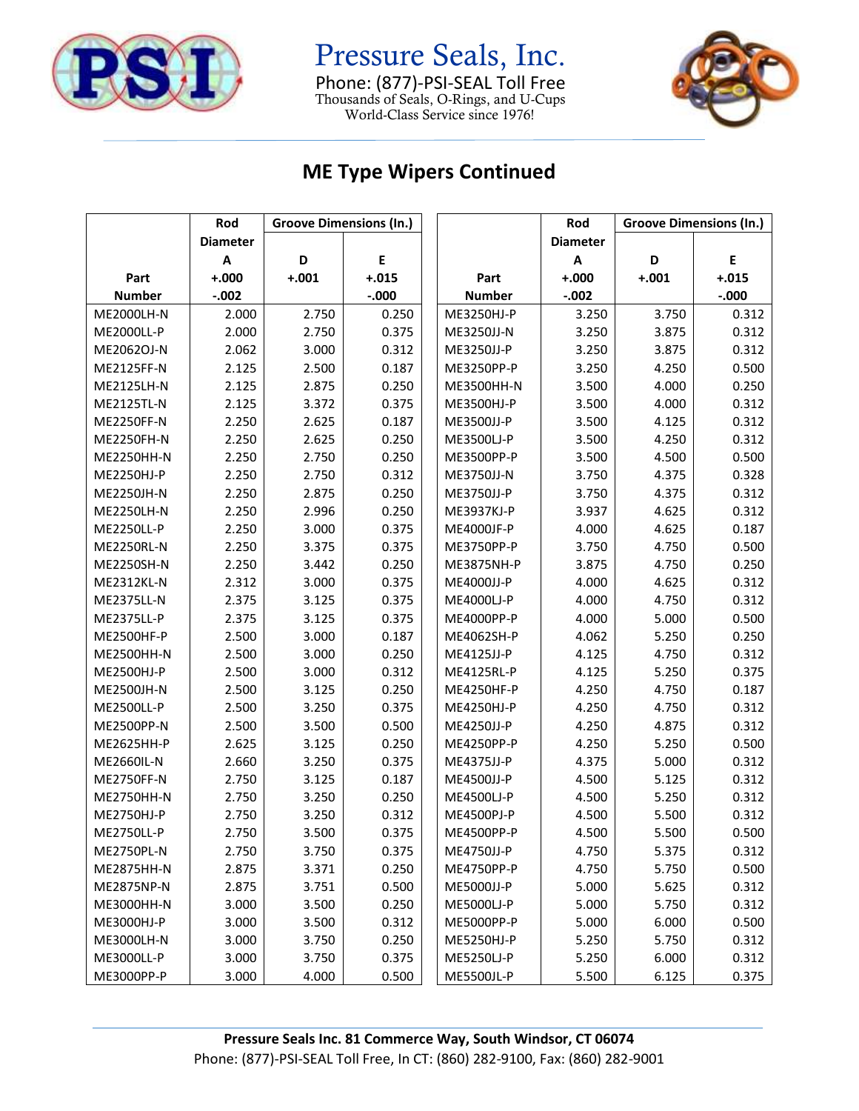

Pressure Seals, Inc. Phone: (877)-PSI-SEAL Toll Free Thousands of Seals, O-Rings, and U-Cups World-Class Service since 1976!



## **ME Type Wipers Continued**

|                   | Rod             | <b>Groove Dimensions (In.)</b> |             |                   | Rod             | <b>Groove Dimensions (In.)</b> |         |
|-------------------|-----------------|--------------------------------|-------------|-------------------|-----------------|--------------------------------|---------|
|                   | <b>Diameter</b> |                                |             |                   | <b>Diameter</b> |                                |         |
|                   | A               | D                              | $\mathsf E$ |                   | Α               | D                              | E       |
| Part              | $+.000$         | $+.001$                        | $+.015$     | Part              | $+.000$         | $+.001$                        | $+.015$ |
| <b>Number</b>     | $-.002$         |                                | $-.000$     | <b>Number</b>     | $-.002$         |                                | $-.000$ |
| <b>ME2000LH-N</b> | 2.000           | 2.750                          | 0.250       | ME3250HJ-P        | 3.250           | 3.750                          | 0.312   |
| ME2000LL-P        | 2.000           | 2.750                          | 0.375       | ME3250JJ-N        | 3.250           | 3.875                          | 0.312   |
| ME2062OJ-N        | 2.062           | 3.000                          | 0.312       | ME3250JJ-P        | 3.250           | 3.875                          | 0.312   |
| ME2125FF-N        | 2.125           | 2.500                          | 0.187       | ME3250PP-P        | 3.250           | 4.250                          | 0.500   |
| <b>ME2125LH-N</b> | 2.125           | 2.875                          | 0.250       | ME3500HH-N        | 3.500           | 4.000                          | 0.250   |
| <b>ME2125TL-N</b> | 2.125           | 3.372                          | 0.375       | ME3500HJ-P        | 3.500           | 4.000                          | 0.312   |
| <b>ME2250FF-N</b> | 2.250           | 2.625                          | 0.187       | ME3500JJ-P        | 3.500           | 4.125                          | 0.312   |
| <b>ME2250FH-N</b> | 2.250           | 2.625                          | 0.250       | ME3500LJ-P        | 3.500           | 4.250                          | 0.312   |
| <b>ME2250HH-N</b> | 2.250           | 2.750                          | 0.250       | ME3500PP-P        | 3.500           | 4.500                          | 0.500   |
| ME2250HJ-P        | 2.250           | 2.750                          | 0.312       | ME3750JJ-N        | 3.750           | 4.375                          | 0.328   |
| ME2250JH-N        | 2.250           | 2.875                          | 0.250       | ME3750JJ-P        | 3.750           | 4.375                          | 0.312   |
| <b>ME2250LH-N</b> | 2.250           | 2.996                          | 0.250       | ME3937KJ-P        | 3.937           | 4.625                          | 0.312   |
| <b>ME2250LL-P</b> | 2.250           | 3.000                          | 0.375       | ME4000JF-P        | 4.000           | 4.625                          | 0.187   |
| ME2250RL-N        | 2.250           | 3.375                          | 0.375       | ME3750PP-P        | 3.750           | 4.750                          | 0.500   |
| ME2250SH-N        | 2.250           | 3.442                          | 0.250       | <b>ME3875NH-P</b> | 3.875           | 4.750                          | 0.250   |
| <b>ME2312KL-N</b> | 2.312           | 3.000                          | 0.375       | ME4000JJ-P        | 4.000           | 4.625                          | 0.312   |
| <b>ME2375LL-N</b> | 2.375           | 3.125                          | 0.375       | ME4000LJ-P        | 4.000           | 4.750                          | 0.312   |
| ME2375LL-P        | 2.375           | 3.125                          | 0.375       | ME4000PP-P        | 4.000           | 5.000                          | 0.500   |
| ME2500HF-P        | 2.500           | 3.000                          | 0.187       | ME4062SH-P        | 4.062           | 5.250                          | 0.250   |
| <b>ME2500HH-N</b> | 2.500           | 3.000                          | 0.250       | ME4125JJ-P        | 4.125           | 4.750                          | 0.312   |
| ME2500HJ-P        | 2.500           | 3.000                          | 0.312       | ME4125RL-P        | 4.125           | 5.250                          | 0.375   |
| <b>ME2500JH-N</b> | 2.500           | 3.125                          | 0.250       | <b>ME4250HF-P</b> | 4.250           | 4.750                          | 0.187   |
| ME2500LL-P        | 2.500           | 3.250                          | 0.375       | ME4250HJ-P        | 4.250           | 4.750                          | 0.312   |
| <b>ME2500PP-N</b> | 2.500           | 3.500                          | 0.500       | ME4250JJ-P        | 4.250           | 4.875                          | 0.312   |
| ME2625HH-P        | 2.625           | 3.125                          | 0.250       | ME4250PP-P        | 4.250           | 5.250                          | 0.500   |
| <b>ME2660IL-N</b> | 2.660           | 3.250                          | 0.375       | ME4375JJ-P        | 4.375           | 5.000                          | 0.312   |
| <b>ME2750FF-N</b> | 2.750           | 3.125                          | 0.187       | ME4500JJ-P        | 4.500           | 5.125                          | 0.312   |
| <b>ME2750HH-N</b> | 2.750           | 3.250                          | 0.250       | <b>ME4500LJ-P</b> | 4.500           | 5.250                          | 0.312   |
| ME2750HJ-P        | 2.750           | 3.250                          | 0.312       | ME4500PJ-P        | 4.500           | 5.500                          | 0.312   |
| ME2750LL-P        | 2.750           | 3.500                          | 0.375       | ME4500PP-P        | 4.500           | 5.500                          | 0.500   |
| ME2750PL-N        | 2.750           | 3.750                          | 0.375       | ME4750JJ-P        | 4.750           | 5.375                          | 0.312   |
| <b>ME2875HH-N</b> | 2.875           | 3.371                          | 0.250       | ME4750PP-P        | 4.750           | 5.750                          | 0.500   |
| <b>ME2875NP-N</b> | 2.875           | 3.751                          | 0.500       | ME5000JJ-P        | 5.000           | 5.625                          | 0.312   |
| ME3000HH-N        | 3.000           | 3.500                          | 0.250       | <b>ME5000LJ-P</b> | 5.000           | 5.750                          | 0.312   |
| ME3000HJ-P        | 3.000           | 3.500                          | 0.312       | ME5000PP-P        | 5.000           | 6.000                          | 0.500   |
| ME3000LH-N        | 3.000           | 3.750                          | 0.250       | ME5250HJ-P        | 5.250           | 5.750                          | 0.312   |
| ME3000LL-P        | 3.000           | 3.750                          | 0.375       | <b>ME5250LJ-P</b> | 5.250           | 6.000                          | 0.312   |
| ME3000PP-P        | 3.000           | 4.000                          | 0.500       | ME5500JL-P        | 5.500           | 6.125                          | 0.375   |